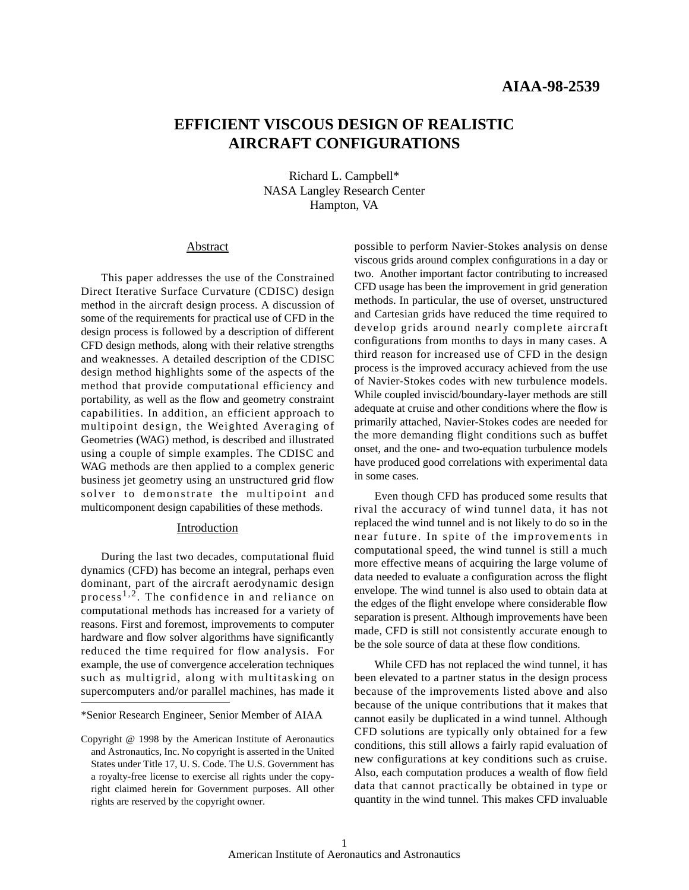# **EFFICIENT VISCOUS DESIGN OF REALISTIC AIRCRAFT CONFIGURATIONS**

Richard L. Campbell\* NASA Langley Research Center Hampton, VA

### Abstract

This paper addresses the use of the Constrained Direct Iterative Surface Curvature (CDISC) design method in the aircraft design process. A discussion of some of the requirements for practical use of CFD in the design process is followed by a description of different CFD design methods, along with their relative strengths and weaknesses. A detailed description of the CDISC design method highlights some of the aspects of the method that provide computational efficiency and portability, as well as the flow and geometry constraint capabilities. In addition, an efficient approach to multipoint design, the Weighted Averaging of Geometries (WAG) method, is described and illustrated using a couple of simple examples. The CDISC and WAG methods are then applied to a complex generic business jet geometry using an unstructured grid flow solver to demonstrate the multipoint and multicomponent design capabilities of these methods.

#### Introduction

During the last two decades, computational fluid dynamics (CFD) has become an integral, perhaps even dominant, part of the aircraft aerodynamic design process<sup>1,2</sup>. The confidence in and reliance on computational methods has increased for a variety of reasons. First and foremost, improvements to computer hardware and flow solver algorithms have significantly reduced the time required for flow analysis. For example, the use of convergence acceleration techniques such as multigrid, along with multitasking on supercomputers and/or parallel machines, has made it

\*Senior Research Engineer, Senior Member of AIAA

Copyright @ 1998 by the American Institute of Aeronautics and Astronautics, Inc. No copyright is asserted in the United States under Title 17, U. S. Code. The U.S. Government has a royalty-free license to exercise all rights under the copyright claimed herein for Government purposes. All other rights are reserved by the copyright owner.

possible to perform Navier-Stokes analysis on dense viscous grids around complex configurations in a day or two. Another important factor contributing to increased CFD usage has been the improvement in grid generation methods. In particular, the use of overset, unstructured and Cartesian grids have reduced the time required to develop grids around nearly complete aircraft configurations from months to days in many cases. A third reason for increased use of CFD in the design process is the improved accuracy achieved from the use of Navier-Stokes codes with new turbulence models. While coupled inviscid/boundary-layer methods are still adequate at cruise and other conditions where the flow is primarily attached, Navier-Stokes codes are needed for the more demanding flight conditions such as buffet onset, and the one- and two-equation turbulence models have produced good correlations with experimental data in some cases.

Even though CFD has produced some results that rival the accuracy of wind tunnel data, it has not replaced the wind tunnel and is not likely to do so in the near future. In spite of the improvements in computational speed, the wind tunnel is still a much more effective means of acquiring the large volume of data needed to evaluate a configuration across the flight envelope. The wind tunnel is also used to obtain data at the edges of the flight envelope where considerable flow separation is present. Although improvements have been made, CFD is still not consistently accurate enough to be the sole source of data at these flow conditions.

While CFD has not replaced the wind tunnel, it has been elevated to a partner status in the design process because of the improvements listed above and also because of the unique contributions that it makes that cannot easily be duplicated in a wind tunnel. Although CFD solutions are typically only obtained for a few conditions, this still allows a fairly rapid evaluation of new configurations at key conditions such as cruise. Also, each computation produces a wealth of flow field data that cannot practically be obtained in type or quantity in the wind tunnel. This makes CFD invaluable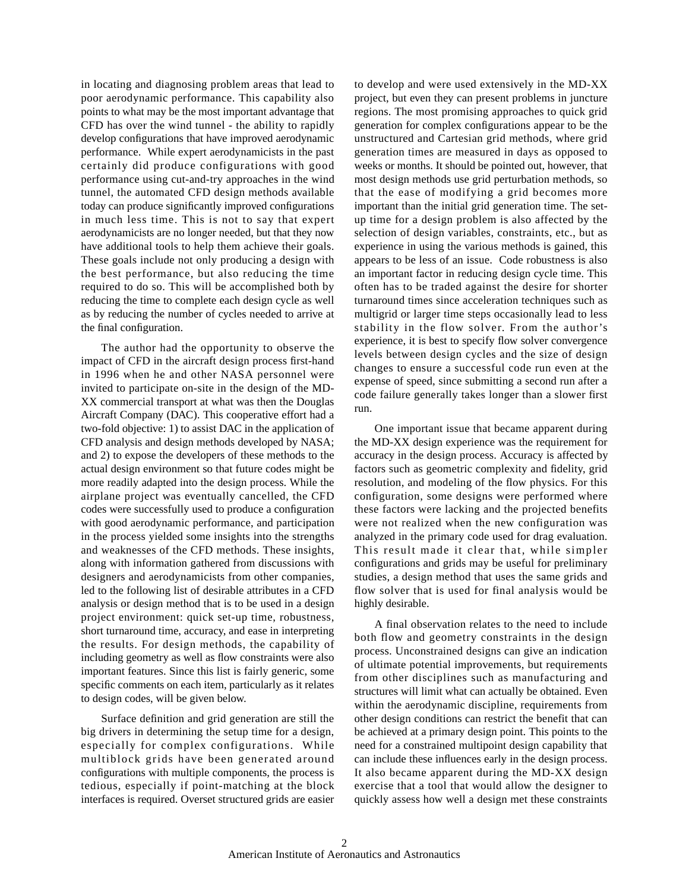in locating and diagnosing problem areas that lead to poor aerodynamic performance. This capability also points to what may be the most important advantage that CFD has over the wind tunnel - the ability to rapidly develop configurations that have improved aerodynamic performance. While expert aerodynamicists in the past certainly did produce configurations with good performance using cut-and-try approaches in the wind tunnel, the automated CFD design methods available today can produce significantly improved configurations in much less time. This is not to say that expert aerodynamicists are no longer needed, but that they now have additional tools to help them achieve their goals. These goals include not only producing a design with the best performance, but also reducing the time required to do so. This will be accomplished both by reducing the time to complete each design cycle as well as by reducing the number of cycles needed to arrive at the final configuration.

The author had the opportunity to observe the impact of CFD in the aircraft design process first-hand in 1996 when he and other NASA personnel were invited to participate on-site in the design of the MD-XX commercial transport at what was then the Douglas Aircraft Company (DAC). This cooperative effort had a two-fold objective: 1) to assist DAC in the application of CFD analysis and design methods developed by NASA; and 2) to expose the developers of these methods to the actual design environment so that future codes might be more readily adapted into the design process. While the airplane project was eventually cancelled, the CFD codes were successfully used to produce a configuration with good aerodynamic performance, and participation in the process yielded some insights into the strengths and weaknesses of the CFD methods. These insights, along with information gathered from discussions with designers and aerodynamicists from other companies, led to the following list of desirable attributes in a CFD analysis or design method that is to be used in a design project environment: quick set-up time, robustness, short turnaround time, accuracy, and ease in interpreting the results. For design methods, the capability of including geometry as well as flow constraints were also important features. Since this list is fairly generic, some specific comments on each item, particularly as it relates to design codes, will be given below.

Surface definition and grid generation are still the big drivers in determining the setup time for a design, especially for complex configurations. While multiblock grids have been generated around configurations with multiple components, the process is tedious, especially if point-matching at the block interfaces is required. Overset structured grids are easier to develop and were used extensively in the MD-XX project, but even they can present problems in juncture regions. The most promising approaches to quick grid generation for complex configurations appear to be the unstructured and Cartesian grid methods, where grid generation times are measured in days as opposed to weeks or months. It should be pointed out, however, that most design methods use grid perturbation methods, so that the ease of modifying a grid becomes more important than the initial grid generation time. The setup time for a design problem is also affected by the selection of design variables, constraints, etc., but as experience in using the various methods is gained, this appears to be less of an issue. Code robustness is also an important factor in reducing design cycle time. This often has to be traded against the desire for shorter turnaround times since acceleration techniques such as multigrid or larger time steps occasionally lead to less stability in the flow solver. From the author's experience, it is best to specify flow solver convergence levels between design cycles and the size of design changes to ensure a successful code run even at the expense of speed, since submitting a second run after a code failure generally takes longer than a slower first run.

One important issue that became apparent during the MD-XX design experience was the requirement for accuracy in the design process. Accuracy is affected by factors such as geometric complexity and fidelity, grid resolution, and modeling of the flow physics. For this configuration, some designs were performed where these factors were lacking and the projected benefits were not realized when the new configuration was analyzed in the primary code used for drag evaluation. This result made it clear that, while simpler configurations and grids may be useful for preliminary studies, a design method that uses the same grids and flow solver that is used for final analysis would be highly desirable.

A final observation relates to the need to include both flow and geometry constraints in the design process. Unconstrained designs can give an indication of ultimate potential improvements, but requirements from other disciplines such as manufacturing and structures will limit what can actually be obtained. Even within the aerodynamic discipline, requirements from other design conditions can restrict the benefit that can be achieved at a primary design point. This points to the need for a constrained multipoint design capability that can include these influences early in the design process. It also became apparent during the MD-XX design exercise that a tool that would allow the designer to quickly assess how well a design met these constraints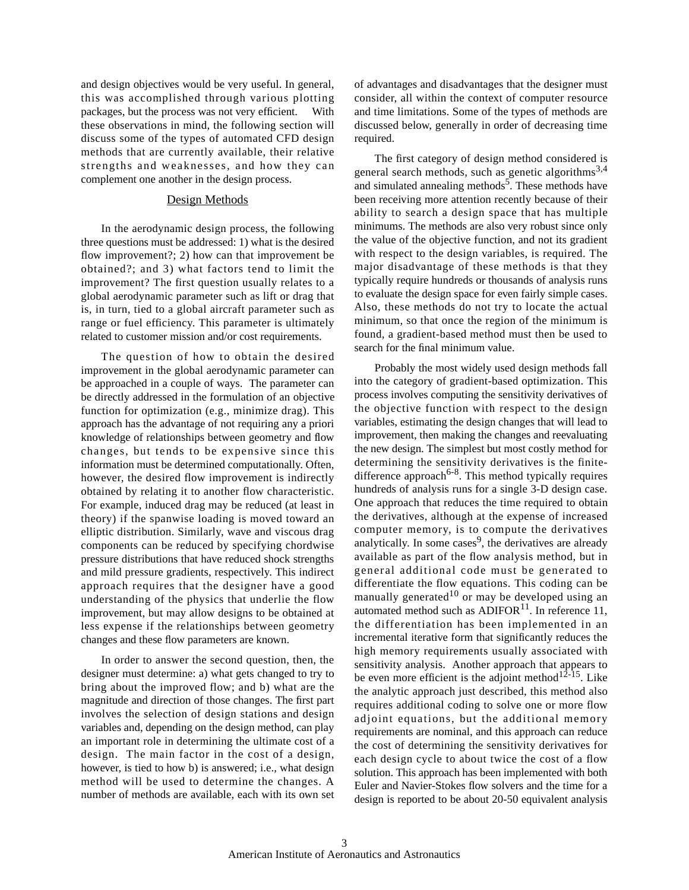and design objectives would be very useful. In general, this was accomplished through various plotting packages, but the process was not very efficient. With these observations in mind, the following section will discuss some of the types of automated CFD design methods that are currently available, their relative strengths and weaknesses, and how they can complement one another in the design process.

## Design Methods

In the aerodynamic design process, the following three questions must be addressed: 1) what is the desired flow improvement?; 2) how can that improvement be obtained?; and 3) what factors tend to limit the improvement? The first question usually relates to a global aerodynamic parameter such as lift or drag that is, in turn, tied to a global aircraft parameter such as range or fuel efficiency. This parameter is ultimately related to customer mission and/or cost requirements.

The question of how to obtain the desired improvement in the global aerodynamic parameter can be approached in a couple of ways. The parameter can be directly addressed in the formulation of an objective function for optimization (e.g., minimize drag). This approach has the advantage of not requiring any a priori knowledge of relationships between geometry and flow changes, but tends to be expensive since this information must be determined computationally. Often, however, the desired flow improvement is indirectly obtained by relating it to another flow characteristic. For example, induced drag may be reduced (at least in theory) if the spanwise loading is moved toward an elliptic distribution. Similarly, wave and viscous drag components can be reduced by specifying chordwise pressure distributions that have reduced shock strengths and mild pressure gradients, respectively. This indirect approach requires that the designer have a good understanding of the physics that underlie the flow improvement, but may allow designs to be obtained at less expense if the relationships between geometry changes and these flow parameters are known.

In order to answer the second question, then, the designer must determine: a) what gets changed to try to bring about the improved flow; and b) what are the magnitude and direction of those changes. The first part involves the selection of design stations and design variables and, depending on the design method, can play an important role in determining the ultimate cost of a design. The main factor in the cost of a design, however, is tied to how b) is answered; i.e., what design method will be used to determine the changes. A number of methods are available, each with its own set of advantages and disadvantages that the designer must consider, all within the context of computer resource and time limitations. Some of the types of methods are discussed below, generally in order of decreasing time required.

The first category of design method considered is general search methods, such as genetic algorithms<sup>3,4</sup> and simulated annealing methods $5$ . These methods have been receiving more attention recently because of their ability to search a design space that has multiple minimums. The methods are also very robust since only the value of the objective function, and not its gradient with respect to the design variables, is required. The major disadvantage of these methods is that they typically require hundreds or thousands of analysis runs to evaluate the design space for even fairly simple cases. Also, these methods do not try to locate the actual minimum, so that once the region of the minimum is found, a gradient-based method must then be used to search for the final minimum value.

Probably the most widely used design methods fall into the category of gradient-based optimization. This process involves computing the sensitivity derivatives of the objective function with respect to the design variables, estimating the design changes that will lead to improvement, then making the changes and reevaluating the new design. The simplest but most costly method for determining the sensitivity derivatives is the finitedifference approach<sup>6-8</sup>. This method typically requires hundreds of analysis runs for a single 3-D design case. One approach that reduces the time required to obtain the derivatives, although at the expense of increased computer memory, is to compute the derivatives analytically. In some cases<sup>9</sup>, the derivatives are already available as part of the flow analysis method, but in general additional code must be generated to differentiate the flow equations. This coding can be manually generated<sup>10</sup> or may be developed using an automated method such as  $ADIFOR<sup>11</sup>$ . In reference 11, the differentiation has been implemented in an incremental iterative form that significantly reduces the high memory requirements usually associated with sensitivity analysis. Another approach that appears to be even more efficient is the adjoint method $12-15$ . Like the analytic approach just described, this method also requires additional coding to solve one or more flow adjoint equations, but the additional memory requirements are nominal, and this approach can reduce the cost of determining the sensitivity derivatives for each design cycle to about twice the cost of a flow solution. This approach has been implemented with both Euler and Navier-Stokes flow solvers and the time for a design is reported to be about 20-50 equivalent analysis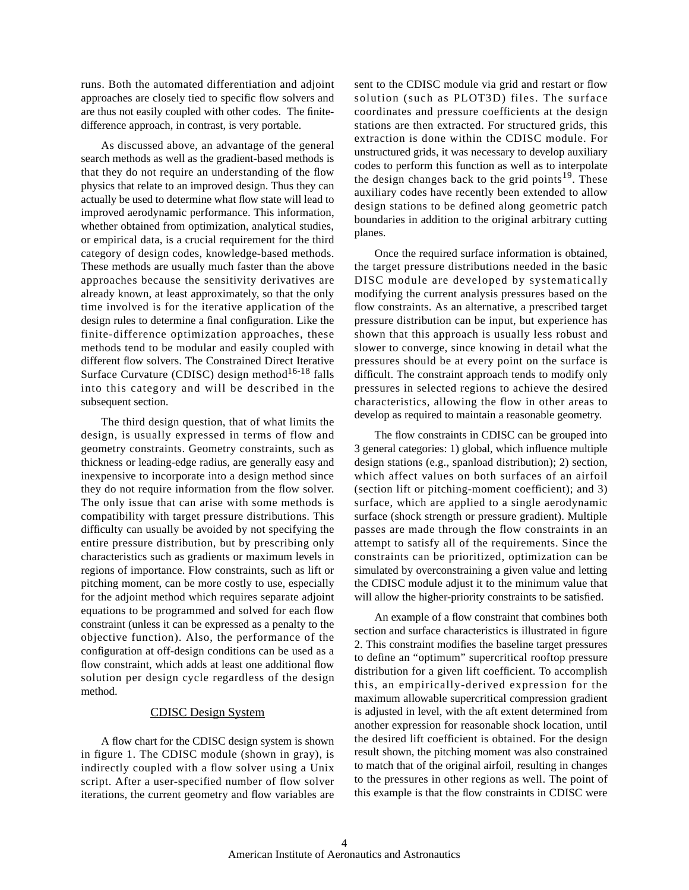runs. Both the automated differentiation and adjoint approaches are closely tied to specific flow solvers and are thus not easily coupled with other codes. The finitedifference approach, in contrast, is very portable.

As discussed above, an advantage of the general search methods as well as the gradient-based methods is that they do not require an understanding of the flow physics that relate to an improved design. Thus they can actually be used to determine what flow state will lead to improved aerodynamic performance. This information, whether obtained from optimization, analytical studies, or empirical data, is a crucial requirement for the third category of design codes, knowledge-based methods. These methods are usually much faster than the above approaches because the sensitivity derivatives are already known, at least approximately, so that the only time involved is for the iterative application of the design rules to determine a final configuration. Like the finite-difference optimization approaches, these methods tend to be modular and easily coupled with different flow solvers. The Constrained Direct Iterative Surface Curvature (CDISC) design method $16-18$  falls into this category and will be described in the subsequent section.

The third design question, that of what limits the design, is usually expressed in terms of flow and geometry constraints. Geometry constraints, such as thickness or leading-edge radius, are generally easy and inexpensive to incorporate into a design method since they do not require information from the flow solver. The only issue that can arise with some methods is compatibility with target pressure distributions. This difficulty can usually be avoided by not specifying the entire pressure distribution, but by prescribing only characteristics such as gradients or maximum levels in regions of importance. Flow constraints, such as lift or pitching moment, can be more costly to use, especially for the adjoint method which requires separate adjoint equations to be programmed and solved for each flow constraint (unless it can be expressed as a penalty to the objective function). Also, the performance of the configuration at off-design conditions can be used as a flow constraint, which adds at least one additional flow solution per design cycle regardless of the design method.

# CDISC Design System

A flow chart for the CDISC design system is shown in figure 1. The CDISC module (shown in gray), is indirectly coupled with a flow solver using a Unix script. After a user-specified number of flow solver iterations, the current geometry and flow variables are sent to the CDISC module via grid and restart or flow solution (such as PLOT3D) files. The surface coordinates and pressure coefficients at the design stations are then extracted. For structured grids, this extraction is done within the CDISC module. For unstructured grids, it was necessary to develop auxiliary codes to perform this function as well as to interpolate the design changes back to the grid points<sup>19</sup>. These auxiliary codes have recently been extended to allow design stations to be defined along geometric patch boundaries in addition to the original arbitrary cutting planes.

Once the required surface information is obtained, the target pressure distributions needed in the basic DISC module are developed by systematically modifying the current analysis pressures based on the flow constraints. As an alternative, a prescribed target pressure distribution can be input, but experience has shown that this approach is usually less robust and slower to converge, since knowing in detail what the pressures should be at every point on the surface is difficult. The constraint approach tends to modify only pressures in selected regions to achieve the desired characteristics, allowing the flow in other areas to develop as required to maintain a reasonable geometry.

The flow constraints in CDISC can be grouped into 3 general categories: 1) global, which influence multiple design stations (e.g., spanload distribution); 2) section, which affect values on both surfaces of an airfoil (section lift or pitching-moment coefficient); and 3) surface, which are applied to a single aerodynamic surface (shock strength or pressure gradient). Multiple passes are made through the flow constraints in an attempt to satisfy all of the requirements. Since the constraints can be prioritized, optimization can be simulated by overconstraining a given value and letting the CDISC module adjust it to the minimum value that will allow the higher-priority constraints to be satisfied.

An example of a flow constraint that combines both section and surface characteristics is illustrated in figure 2. This constraint modifies the baseline target pressures to define an "optimum" supercritical rooftop pressure distribution for a given lift coefficient. To accomplish this, an empirically-derived expression for the maximum allowable supercritical compression gradient is adjusted in level, with the aft extent determined from another expression for reasonable shock location, until the desired lift coefficient is obtained. For the design result shown, the pitching moment was also constrained to match that of the original airfoil, resulting in changes to the pressures in other regions as well. The point of this example is that the flow constraints in CDISC were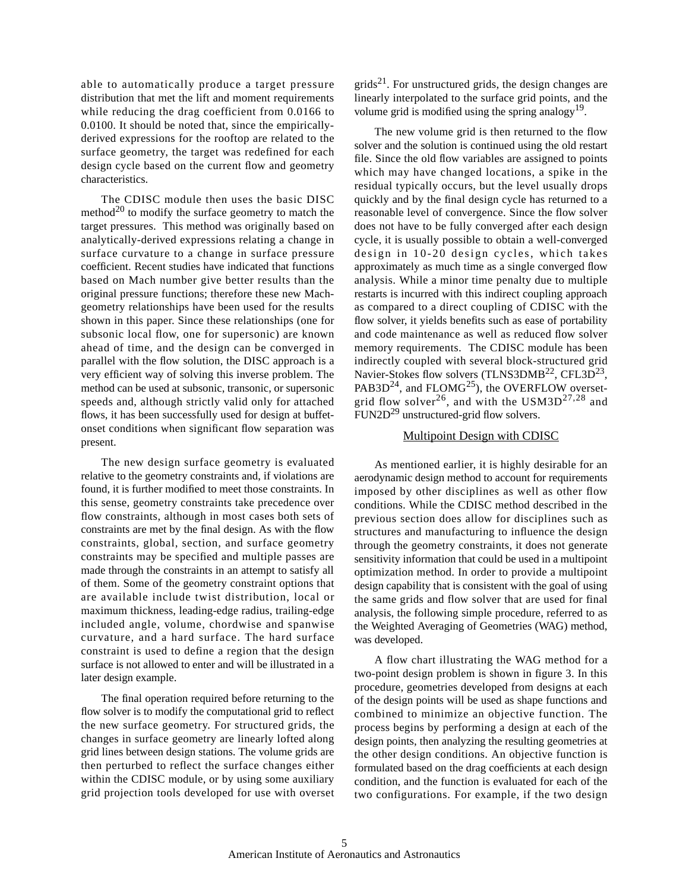able to automatically produce a target pressure distribution that met the lift and moment requirements while reducing the drag coefficient from 0.0166 to 0.0100. It should be noted that, since the empiricallyderived expressions for the rooftop are related to the surface geometry, the target was redefined for each design cycle based on the current flow and geometry characteristics.

The CDISC module then uses the basic DISC method $^{20}$  to modify the surface geometry to match the target pressures. This method was originally based on analytically-derived expressions relating a change in surface curvature to a change in surface pressure coefficient. Recent studies have indicated that functions based on Mach number give better results than the original pressure functions; therefore these new Machgeometry relationships have been used for the results shown in this paper. Since these relationships (one for subsonic local flow, one for supersonic) are known ahead of time, and the design can be converged in parallel with the flow solution, the DISC approach is a very efficient way of solving this inverse problem. The method can be used at subsonic, transonic, or supersonic speeds and, although strictly valid only for attached flows, it has been successfully used for design at buffetonset conditions when significant flow separation was present.

The new design surface geometry is evaluated relative to the geometry constraints and, if violations are found, it is further modified to meet those constraints. In this sense, geometry constraints take precedence over flow constraints, although in most cases both sets of constraints are met by the final design. As with the flow constraints, global, section, and surface geometry constraints may be specified and multiple passes are made through the constraints in an attempt to satisfy all of them. Some of the geometry constraint options that are available include twist distribution, local or maximum thickness, leading-edge radius, trailing-edge included angle, volume, chordwise and spanwise curvature, and a hard surface. The hard surface constraint is used to define a region that the design surface is not allowed to enter and will be illustrated in a later design example.

The final operation required before returning to the flow solver is to modify the computational grid to reflect the new surface geometry. For structured grids, the changes in surface geometry are linearly lofted along grid lines between design stations. The volume grids are then perturbed to reflect the surface changes either within the CDISC module, or by using some auxiliary grid projection tools developed for use with overset grids<sup>21</sup>. For unstructured grids, the design changes are linearly interpolated to the surface grid points, and the volume grid is modified using the spring analogy<sup>19</sup>.

The new volume grid is then returned to the flow solver and the solution is continued using the old restart file. Since the old flow variables are assigned to points which may have changed locations, a spike in the residual typically occurs, but the level usually drops quickly and by the final design cycle has returned to a reasonable level of convergence. Since the flow solver does not have to be fully converged after each design cycle, it is usually possible to obtain a well-converged design in 10-20 design cycles, which takes approximately as much time as a single converged flow analysis. While a minor time penalty due to multiple restarts is incurred with this indirect coupling approach as compared to a direct coupling of CDISC with the flow solver, it yields benefits such as ease of portability and code maintenance as well as reduced flow solver memory requirements. The CDISC module has been indirectly coupled with several block-structured grid Navier-Stokes flow solvers (TLNS3DMB $^{22}$ , CFL3D $^{23}$ , PAB3D<sup>24</sup>, and FLOMG<sup>25</sup>), the OVERFLOW oversetgrid flow solver<sup>26</sup>, and with the USM3D<sup>27,28</sup> and  $FUN2D<sup>29</sup>$  unstructured-grid flow solvers.

#### Multipoint Design with CDISC

As mentioned earlier, it is highly desirable for an aerodynamic design method to account for requirements imposed by other disciplines as well as other flow conditions. While the CDISC method described in the previous section does allow for disciplines such as structures and manufacturing to influence the design through the geometry constraints, it does not generate sensitivity information that could be used in a multipoint optimization method. In order to provide a multipoint design capability that is consistent with the goal of using the same grids and flow solver that are used for final analysis, the following simple procedure, referred to as the Weighted Averaging of Geometries (WAG) method, was developed.

A flow chart illustrating the WAG method for a two-point design problem is shown in figure 3. In this procedure, geometries developed from designs at each of the design points will be used as shape functions and combined to minimize an objective function. The process begins by performing a design at each of the design points, then analyzing the resulting geometries at the other design conditions. An objective function is formulated based on the drag coefficients at each design condition, and the function is evaluated for each of the two configurations. For example, if the two design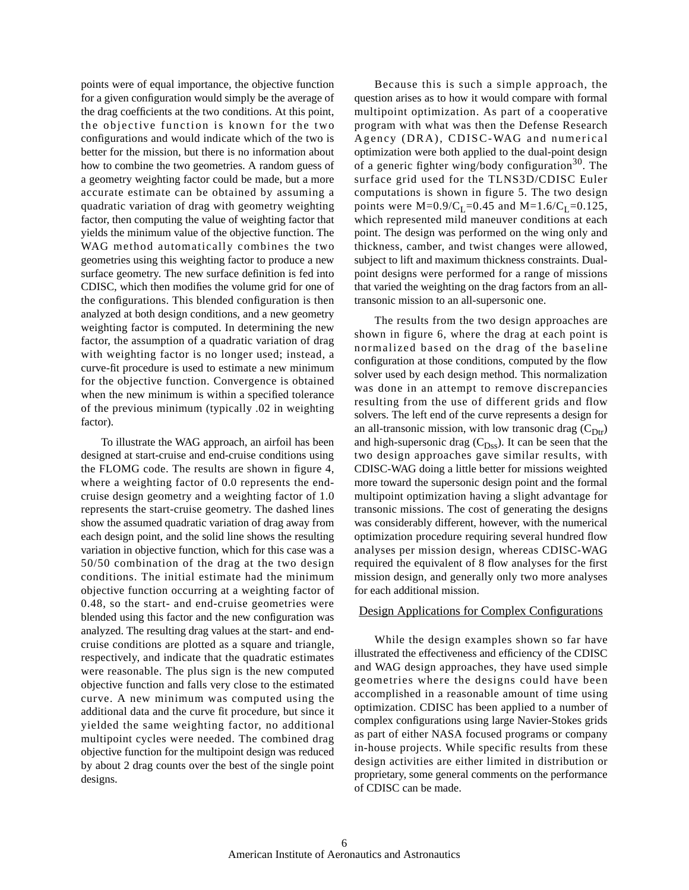points were of equal importance, the objective function for a given configuration would simply be the average of the drag coefficients at the two conditions. At this point, the objective function is known for the two configurations and would indicate which of the two is better for the mission, but there is no information about how to combine the two geometries. A random guess of a geometry weighting factor could be made, but a more accurate estimate can be obtained by assuming a quadratic variation of drag with geometry weighting factor, then computing the value of weighting factor that yields the minimum value of the objective function. The WAG method automatically combines the two geometries using this weighting factor to produce a new surface geometry. The new surface definition is fed into CDISC, which then modifies the volume grid for one of the configurations. This blended configuration is then analyzed at both design conditions, and a new geometry weighting factor is computed. In determining the new factor, the assumption of a quadratic variation of drag with weighting factor is no longer used; instead, a curve-fit procedure is used to estimate a new minimum for the objective function. Convergence is obtained when the new minimum is within a specified tolerance of the previous minimum (typically .02 in weighting factor).

To illustrate the WAG approach, an airfoil has been designed at start-cruise and end-cruise conditions using the FLOMG code. The results are shown in figure 4, where a weighting factor of 0.0 represents the endcruise design geometry and a weighting factor of 1.0 represents the start-cruise geometry. The dashed lines show the assumed quadratic variation of drag away from each design point, and the solid line shows the resulting variation in objective function, which for this case was a 50/50 combination of the drag at the two design conditions. The initial estimate had the minimum objective function occurring at a weighting factor of 0.48, so the start- and end-cruise geometries were blended using this factor and the new configuration was analyzed. The resulting drag values at the start- and endcruise conditions are plotted as a square and triangle, respectively, and indicate that the quadratic estimates were reasonable. The plus sign is the new computed objective function and falls very close to the estimated curve. A new minimum was computed using the additional data and the curve fit procedure, but since it yielded the same weighting factor, no additional multipoint cycles were needed. The combined drag objective function for the multipoint design was reduced by about 2 drag counts over the best of the single point designs.

Because this is such a simple approach, the question arises as to how it would compare with formal multipoint optimization. As part of a cooperative program with what was then the Defense Research Agency (DRA), CDISC-WAG and numerical optimization were both applied to the dual-point design of a generic fighter wing/body configuration<sup>30</sup>. The surface grid used for the TLNS3D/CDISC Euler computations is shown in figure 5. The two design points were  $M=0.9/C_I=0.45$  and  $M=1.6/C_I=0.125$ , which represented mild maneuver conditions at each point. The design was performed on the wing only and thickness, camber, and twist changes were allowed, subject to lift and maximum thickness constraints. Dualpoint designs were performed for a range of missions that varied the weighting on the drag factors from an alltransonic mission to an all-supersonic one.

The results from the two design approaches are shown in figure 6, where the drag at each point is normalized based on the drag of the baseline configuration at those conditions, computed by the flow solver used by each design method. This normalization was done in an attempt to remove discrepancies resulting from the use of different grids and flow solvers. The left end of the curve represents a design for an all-transonic mission, with low transonic drag  $(C_{\text{Dtr}})$ and high-supersonic drag  $(C_{Dss})$ . It can be seen that the two design approaches gave similar results, with CDISC-WAG doing a little better for missions weighted more toward the supersonic design point and the formal multipoint optimization having a slight advantage for transonic missions. The cost of generating the designs was considerably different, however, with the numerical optimization procedure requiring several hundred flow analyses per mission design, whereas CDISC-WAG required the equivalent of 8 flow analyses for the first mission design, and generally only two more analyses for each additional mission.

## Design Applications for Complex Configurations

While the design examples shown so far have illustrated the effectiveness and efficiency of the CDISC and WAG design approaches, they have used simple geometries where the designs could have been accomplished in a reasonable amount of time using optimization. CDISC has been applied to a number of complex configurations using large Navier-Stokes grids as part of either NASA focused programs or company in-house projects. While specific results from these design activities are either limited in distribution or proprietary, some general comments on the performance of CDISC can be made.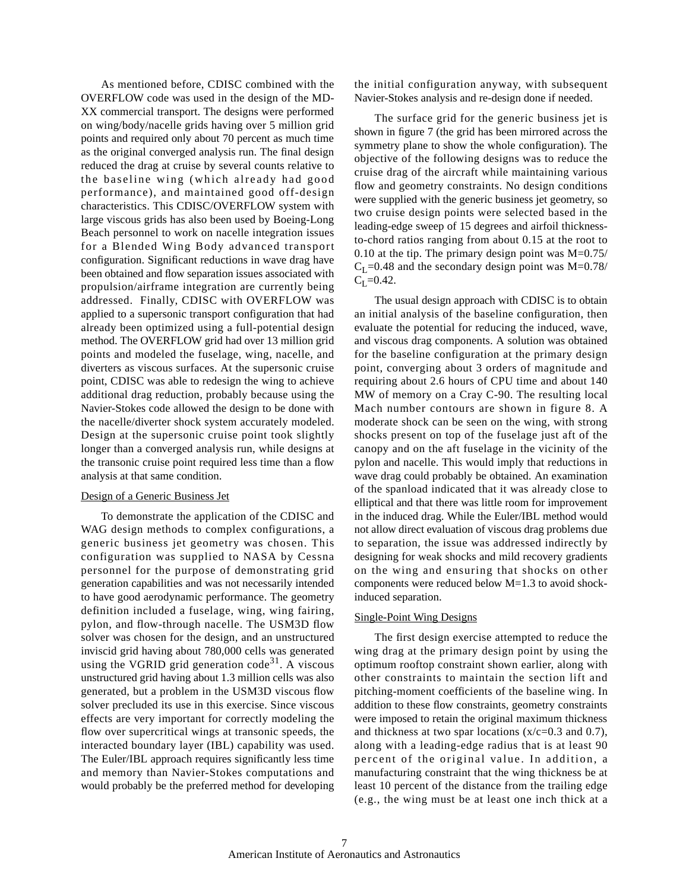As mentioned before, CDISC combined with the OVERFLOW code was used in the design of the MD-XX commercial transport. The designs were performed on wing/body/nacelle grids having over 5 million grid points and required only about 70 percent as much time as the original converged analysis run. The final design reduced the drag at cruise by several counts relative to the baseline wing (which already had good performance), and maintained good off-design characteristics. This CDISC/OVERFLOW system with large viscous grids has also been used by Boeing-Long Beach personnel to work on nacelle integration issues for a Blended Wing Body advanced transport configuration. Significant reductions in wave drag have been obtained and flow separation issues associated with propulsion/airframe integration are currently being addressed. Finally, CDISC with OVERFLOW was applied to a supersonic transport configuration that had already been optimized using a full-potential design method. The OVERFLOW grid had over 13 million grid points and modeled the fuselage, wing, nacelle, and diverters as viscous surfaces. At the supersonic cruise point, CDISC was able to redesign the wing to achieve additional drag reduction, probably because using the Navier-Stokes code allowed the design to be done with the nacelle/diverter shock system accurately modeled. Design at the supersonic cruise point took slightly longer than a converged analysis run, while designs at the transonic cruise point required less time than a flow analysis at that same condition.

#### Design of a Generic Business Jet

To demonstrate the application of the CDISC and WAG design methods to complex configurations, a generic business jet geometry was chosen. This configuration was supplied to NASA by Cessna personnel for the purpose of demonstrating grid generation capabilities and was not necessarily intended to have good aerodynamic performance. The geometry definition included a fuselage, wing, wing fairing, pylon, and flow-through nacelle. The USM3D flow solver was chosen for the design, and an unstructured inviscid grid having about 780,000 cells was generated using the VGRID grid generation code<sup>31</sup>. A viscous unstructured grid having about 1.3 million cells was also generated, but a problem in the USM3D viscous flow solver precluded its use in this exercise. Since viscous effects are very important for correctly modeling the flow over supercritical wings at transonic speeds, the interacted boundary layer (IBL) capability was used. The Euler/IBL approach requires significantly less time and memory than Navier-Stokes computations and would probably be the preferred method for developing the initial configuration anyway, with subsequent Navier-Stokes analysis and re-design done if needed.

The surface grid for the generic business jet is shown in figure 7 (the grid has been mirrored across the symmetry plane to show the whole configuration). The objective of the following designs was to reduce the cruise drag of the aircraft while maintaining various flow and geometry constraints. No design conditions were supplied with the generic business jet geometry, so two cruise design points were selected based in the leading-edge sweep of 15 degrees and airfoil thicknessto-chord ratios ranging from about 0.15 at the root to 0.10 at the tip. The primary design point was M=0.75/  $C_I = 0.48$  and the secondary design point was M=0.78/  $C_I = 0.42$ .

The usual design approach with CDISC is to obtain an initial analysis of the baseline configuration, then evaluate the potential for reducing the induced, wave, and viscous drag components. A solution was obtained for the baseline configuration at the primary design point, converging about 3 orders of magnitude and requiring about 2.6 hours of CPU time and about 140 MW of memory on a Cray C-90. The resulting local Mach number contours are shown in figure 8. A moderate shock can be seen on the wing, with strong shocks present on top of the fuselage just aft of the canopy and on the aft fuselage in the vicinity of the pylon and nacelle. This would imply that reductions in wave drag could probably be obtained. An examination of the spanload indicated that it was already close to elliptical and that there was little room for improvement in the induced drag. While the Euler/IBL method would not allow direct evaluation of viscous drag problems due to separation, the issue was addressed indirectly by designing for weak shocks and mild recovery gradients on the wing and ensuring that shocks on other components were reduced below M=1.3 to avoid shockinduced separation.

#### Single-Point Wing Designs

The first design exercise attempted to reduce the wing drag at the primary design point by using the optimum rooftop constraint shown earlier, along with other constraints to maintain the section lift and pitching-moment coefficients of the baseline wing. In addition to these flow constraints, geometry constraints were imposed to retain the original maximum thickness and thickness at two spar locations  $(x/c=0.3$  and 0.7), along with a leading-edge radius that is at least 90 percent of the original value. In addition, a manufacturing constraint that the wing thickness be at least 10 percent of the distance from the trailing edge (e.g., the wing must be at least one inch thick at a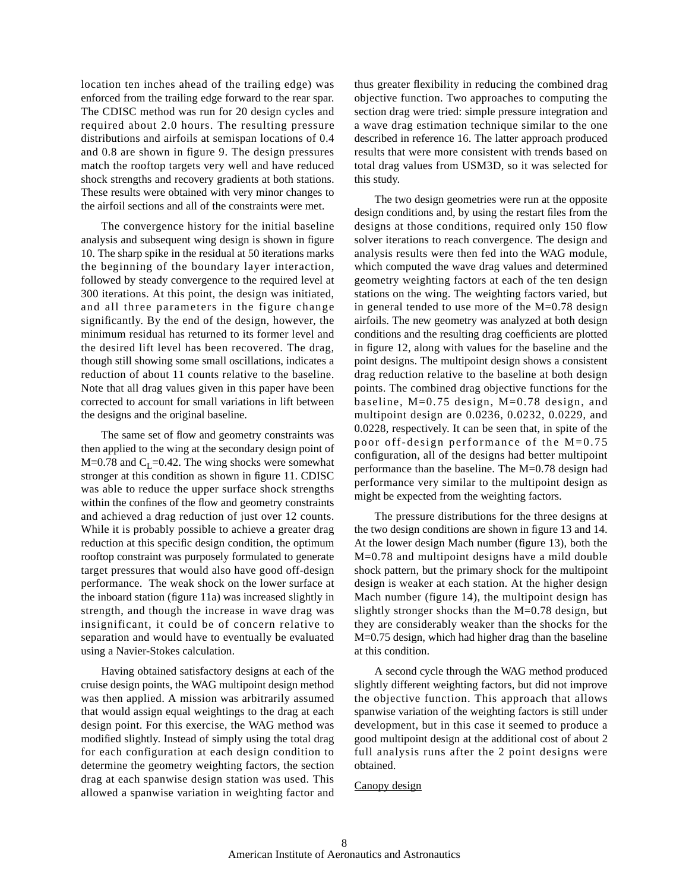location ten inches ahead of the trailing edge) was enforced from the trailing edge forward to the rear spar. The CDISC method was run for 20 design cycles and required about 2.0 hours. The resulting pressure distributions and airfoils at semispan locations of 0.4 and 0.8 are shown in figure 9. The design pressures match the rooftop targets very well and have reduced shock strengths and recovery gradients at both stations. These results were obtained with very minor changes to the airfoil sections and all of the constraints were met.

The convergence history for the initial baseline analysis and subsequent wing design is shown in figure 10. The sharp spike in the residual at 50 iterations marks the beginning of the boundary layer interaction, followed by steady convergence to the required level at 300 iterations. At this point, the design was initiated, and all three parameters in the figure change significantly. By the end of the design, however, the minimum residual has returned to its former level and the desired lift level has been recovered. The drag, though still showing some small oscillations, indicates a reduction of about 11 counts relative to the baseline. Note that all drag values given in this paper have been corrected to account for small variations in lift between the designs and the original baseline.

The same set of flow and geometry constraints was then applied to the wing at the secondary design point of  $M=0.78$  and  $C_L=0.42$ . The wing shocks were somewhat stronger at this condition as shown in figure 11. CDISC was able to reduce the upper surface shock strengths within the confines of the flow and geometry constraints and achieved a drag reduction of just over 12 counts. While it is probably possible to achieve a greater drag reduction at this specific design condition, the optimum rooftop constraint was purposely formulated to generate target pressures that would also have good off-design performance. The weak shock on the lower surface at the inboard station (figure 11a) was increased slightly in strength, and though the increase in wave drag was insignificant, it could be of concern relative to separation and would have to eventually be evaluated using a Navier-Stokes calculation.

Having obtained satisfactory designs at each of the cruise design points, the WAG multipoint design method was then applied. A mission was arbitrarily assumed that would assign equal weightings to the drag at each design point. For this exercise, the WAG method was modified slightly. Instead of simply using the total drag for each configuration at each design condition to determine the geometry weighting factors, the section drag at each spanwise design station was used. This allowed a spanwise variation in weighting factor and thus greater flexibility in reducing the combined drag objective function. Two approaches to computing the section drag were tried: simple pressure integration and a wave drag estimation technique similar to the one described in reference 16. The latter approach produced results that were more consistent with trends based on total drag values from USM3D, so it was selected for this study.

The two design geometries were run at the opposite design conditions and, by using the restart files from the designs at those conditions, required only 150 flow solver iterations to reach convergence. The design and analysis results were then fed into the WAG module, which computed the wave drag values and determined geometry weighting factors at each of the ten design stations on the wing. The weighting factors varied, but in general tended to use more of the  $M=0.78$  design airfoils. The new geometry was analyzed at both design conditions and the resulting drag coefficients are plotted in figure 12, along with values for the baseline and the point designs. The multipoint design shows a consistent drag reduction relative to the baseline at both design points. The combined drag objective functions for the baseline, M=0.75 design, M=0.78 design, and multipoint design are 0.0236, 0.0232, 0.0229, and 0.0228, respectively. It can be seen that, in spite of the poor off-design performance of the M=0.75 configuration, all of the designs had better multipoint performance than the baseline. The M=0.78 design had performance very similar to the multipoint design as might be expected from the weighting factors.

The pressure distributions for the three designs at the two design conditions are shown in figure 13 and 14. At the lower design Mach number (figure 13), both the M=0.78 and multipoint designs have a mild double shock pattern, but the primary shock for the multipoint design is weaker at each station. At the higher design Mach number (figure 14), the multipoint design has slightly stronger shocks than the M=0.78 design, but they are considerably weaker than the shocks for the M=0.75 design, which had higher drag than the baseline at this condition.

A second cycle through the WAG method produced slightly different weighting factors, but did not improve the objective function. This approach that allows spanwise variation of the weighting factors is still under development, but in this case it seemed to produce a good multipoint design at the additional cost of about 2 full analysis runs after the 2 point designs were obtained.

## Canopy design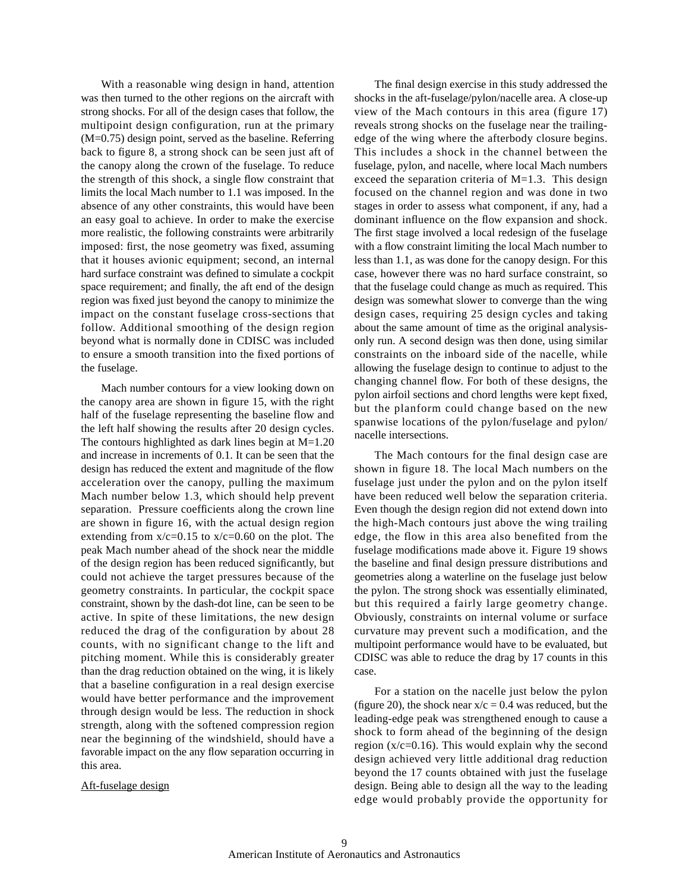With a reasonable wing design in hand, attention was then turned to the other regions on the aircraft with strong shocks. For all of the design cases that follow, the multipoint design configuration, run at the primary (M=0.75) design point, served as the baseline. Referring back to figure 8, a strong shock can be seen just aft of the canopy along the crown of the fuselage. To reduce the strength of this shock, a single flow constraint that limits the local Mach number to 1.1 was imposed. In the absence of any other constraints, this would have been an easy goal to achieve. In order to make the exercise more realistic, the following constraints were arbitrarily imposed: first, the nose geometry was fixed, assuming that it houses avionic equipment; second, an internal hard surface constraint was defined to simulate a cockpit space requirement; and finally, the aft end of the design region was fixed just beyond the canopy to minimize the impact on the constant fuselage cross-sections that follow. Additional smoothing of the design region beyond what is normally done in CDISC was included to ensure a smooth transition into the fixed portions of the fuselage.

Mach number contours for a view looking down on the canopy area are shown in figure 15, with the right half of the fuselage representing the baseline flow and the left half showing the results after 20 design cycles. The contours highlighted as dark lines begin at  $M=1.20$ and increase in increments of 0.1. It can be seen that the design has reduced the extent and magnitude of the flow acceleration over the canopy, pulling the maximum Mach number below 1.3, which should help prevent separation. Pressure coefficients along the crown line are shown in figure 16, with the actual design region extending from  $x/c=0.15$  to  $x/c=0.60$  on the plot. The peak Mach number ahead of the shock near the middle of the design region has been reduced significantly, but could not achieve the target pressures because of the geometry constraints. In particular, the cockpit space constraint, shown by the dash-dot line, can be seen to be active. In spite of these limitations, the new design reduced the drag of the configuration by about 28 counts, with no significant change to the lift and pitching moment. While this is considerably greater than the drag reduction obtained on the wing, it is likely that a baseline configuration in a real design exercise would have better performance and the improvement through design would be less. The reduction in shock strength, along with the softened compression region near the beginning of the windshield, should have a favorable impact on the any flow separation occurring in this area.

#### Aft-fuselage design

The final design exercise in this study addressed the shocks in the aft-fuselage/pylon/nacelle area. A close-up view of the Mach contours in this area (figure 17) reveals strong shocks on the fuselage near the trailingedge of the wing where the afterbody closure begins. This includes a shock in the channel between the fuselage, pylon, and nacelle, where local Mach numbers exceed the separation criteria of  $M=1.3$ . This design focused on the channel region and was done in two stages in order to assess what component, if any, had a dominant influence on the flow expansion and shock. The first stage involved a local redesign of the fuselage with a flow constraint limiting the local Mach number to less than 1.1, as was done for the canopy design. For this case, however there was no hard surface constraint, so that the fuselage could change as much as required. This design was somewhat slower to converge than the wing design cases, requiring 25 design cycles and taking about the same amount of time as the original analysisonly run. A second design was then done, using similar constraints on the inboard side of the nacelle, while allowing the fuselage design to continue to adjust to the changing channel flow. For both of these designs, the pylon airfoil sections and chord lengths were kept fixed, but the planform could change based on the new spanwise locations of the pylon/fuselage and pylon/ nacelle intersections.

The Mach contours for the final design case are shown in figure 18. The local Mach numbers on the fuselage just under the pylon and on the pylon itself have been reduced well below the separation criteria. Even though the design region did not extend down into the high-Mach contours just above the wing trailing edge, the flow in this area also benefited from the fuselage modifications made above it. Figure 19 shows the baseline and final design pressure distributions and geometries along a waterline on the fuselage just below the pylon. The strong shock was essentially eliminated, but this required a fairly large geometry change. Obviously, constraints on internal volume or surface curvature may prevent such a modification, and the multipoint performance would have to be evaluated, but CDISC was able to reduce the drag by 17 counts in this case.

For a station on the nacelle just below the pylon (figure 20), the shock near  $x/c = 0.4$  was reduced, but the leading-edge peak was strengthened enough to cause a shock to form ahead of the beginning of the design region  $(x/c=0.16)$ . This would explain why the second design achieved very little additional drag reduction beyond the 17 counts obtained with just the fuselage design. Being able to design all the way to the leading edge would probably provide the opportunity for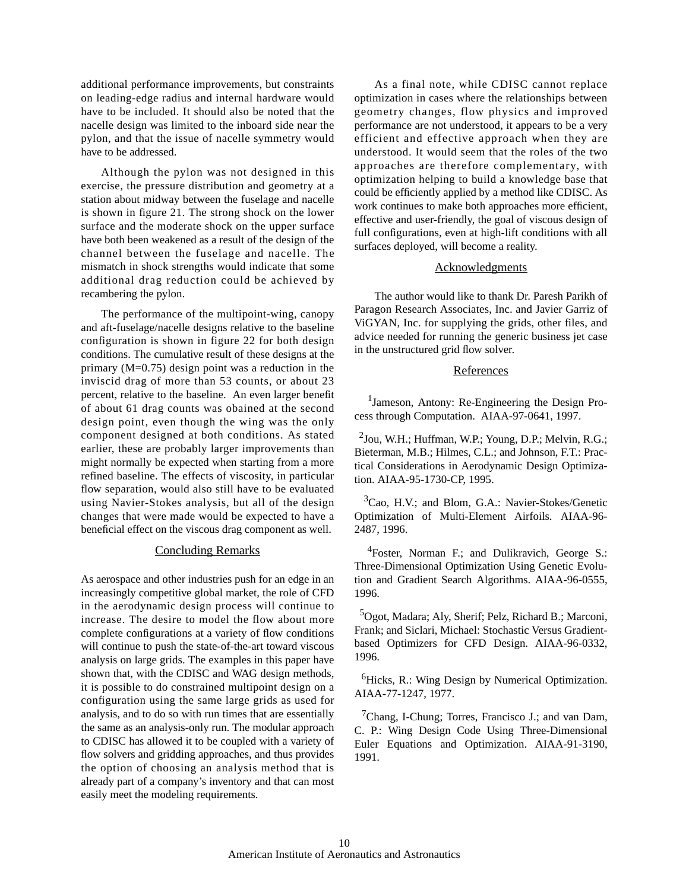additional performance improvements, but constraints on leading-edge radius and internal hardware would have to be included. It should also be noted that the nacelle design was limited to the inboard side near the pylon, and that the issue of nacelle symmetry would have to be addressed.

Although the pylon was not designed in this exercise, the pressure distribution and geometry at a station about midway between the fuselage and nacelle is shown in figure 21. The strong shock on the lower surface and the moderate shock on the upper surface have both been weakened as a result of the design of the channel between the fuselage and nacelle. The mismatch in shock strengths would indicate that some additional drag reduction could be achieved by recambering the pylon.

The performance of the multipoint-wing, canopy and aft-fuselage/nacelle designs relative to the baseline configuration is shown in figure 22 for both design conditions. The cumulative result of these designs at the primary  $(M=0.75)$  design point was a reduction in the inviscid drag of more than 53 counts, or about 23 percent, relative to the baseline. An even larger benefit of about 61 drag counts was obained at the second design point, even though the wing was the only component designed at both conditions. As stated earlier, these are probably larger improvements than might normally be expected when starting from a more refined baseline. The effects of viscosity, in particular flow separation, would also still have to be evaluated using Navier-Stokes analysis, but all of the design changes that were made would be expected to have a beneficial effect on the viscous drag component as well.

# Concluding Remarks

As aerospace and other industries push for an edge in an increasingly competitive global market, the role of CFD in the aerodynamic design process will continue to increase. The desire to model the flow about more complete configurations at a variety of flow conditions will continue to push the state-of-the-art toward viscous analysis on large grids. The examples in this paper have shown that, with the CDISC and WAG design methods, it is possible to do constrained multipoint design on a configuration using the same large grids as used for analysis, and to do so with run times that are essentially the same as an analysis-only run. The modular approach to CDISC has allowed it to be coupled with a variety of flow solvers and gridding approaches, and thus provides the option of choosing an analysis method that is already part of a company's inventory and that can most easily meet the modeling requirements.

As a final note, while CDISC cannot replace optimization in cases where the relationships between geometry changes, flow physics and improved performance are not understood, it appears to be a very efficient and effective approach when they are understood. It would seem that the roles of the two approaches are therefore complementary, with optimization helping to build a knowledge base that could be efficiently applied by a method like CDISC. As work continues to make both approaches more efficient, effective and user-friendly, the goal of viscous design of full configurations, even at high-lift conditions with all surfaces deployed, will become a reality.

# Acknowledgments

The author would like to thank Dr. Paresh Parikh of Paragon Research Associates, Inc. and Javier Garriz of ViGYAN, Inc. for supplying the grids, other files, and advice needed for running the generic business jet case in the unstructured grid flow solver.

## References

<sup>1</sup>Jameson, Antony: Re-Engineering the Design Process through Computation. AIAA-97-0641, 1997.

 $^{2}$ Jou, W.H.; Huffman, W.P.; Young, D.P.; Melvin, R.G.; Bieterman, M.B.; Hilmes, C.L.; and Johnson, F.T.: Practical Considerations in Aerodynamic Design Optimization. AIAA-95-1730-CP, 1995.

<sup>3</sup>Cao, H.V.; and Blom, G.A.: Navier-Stokes/Genetic Optimization of Multi-Element Airfoils. AIAA-96- 2487, 1996.

<sup>4</sup>Foster, Norman F.; and Dulikravich, George S.: Three-Dimensional Optimization Using Genetic Evolution and Gradient Search Algorithms. AIAA-96-0555, 1996.

5Ogot, Madara; Aly, Sherif; Pelz, Richard B.; Marconi, Frank; and Siclari, Michael: Stochastic Versus Gradientbased Optimizers for CFD Design. AIAA-96-0332, 1996.

<sup>6</sup>Hicks, R.: Wing Design by Numerical Optimization. AIAA-77-1247, 1977.

 $7$ Chang, I-Chung; Torres, Francisco J.; and van Dam, C. P.: Wing Design Code Using Three-Dimensional Euler Equations and Optimization. AIAA-91-3190, 1991.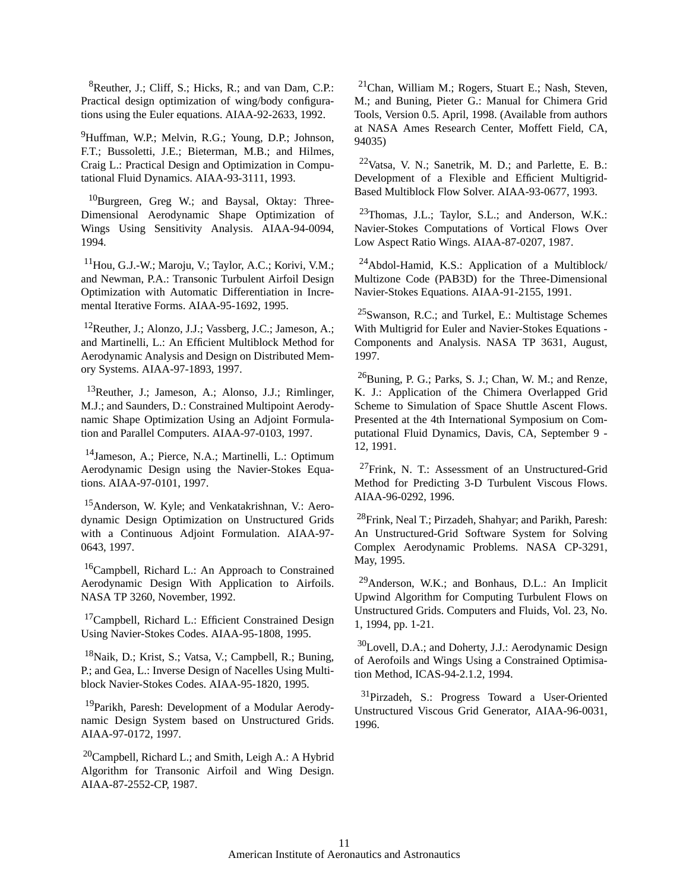8Reuther, J.; Cliff, S.; Hicks, R.; and van Dam, C.P.: Practical design optimization of wing/body configurations using the Euler equations. AIAA-92-2633, 1992.

<sup>9</sup>Huffman, W.P.; Melvin, R.G.; Young, D.P.; Johnson, F.T.; Bussoletti, J.E.; Bieterman, M.B.; and Hilmes, Craig L.: Practical Design and Optimization in Computational Fluid Dynamics. AIAA-93-3111, 1993.

10Burgreen, Greg W.; and Baysal, Oktay: Three-Dimensional Aerodynamic Shape Optimization of Wings Using Sensitivity Analysis. AIAA-94-0094, 1994.

<sup>11</sup>Hou, G.J.-W.; Maroju, V.; Taylor, A.C.; Korivi, V.M.; and Newman, P.A.: Transonic Turbulent Airfoil Design Optimization with Automatic Differentiation in Incremental Iterative Forms. AIAA-95-1692, 1995.

12Reuther, J.; Alonzo, J.J.; Vassberg, J.C.; Jameson, A.; and Martinelli, L.: An Efficient Multiblock Method for Aerodynamic Analysis and Design on Distributed Memory Systems. AIAA-97-1893, 1997.

13Reuther, J.; Jameson, A.; Alonso, J.J.; Rimlinger, M.J.; and Saunders, D.: Constrained Multipoint Aerodynamic Shape Optimization Using an Adjoint Formulation and Parallel Computers. AIAA-97-0103, 1997.

14Jameson, A.; Pierce, N.A.; Martinelli, L.: Optimum Aerodynamic Design using the Navier-Stokes Equations. AIAA-97-0101, 1997.

 15Anderson, W. Kyle; and Venkatakrishnan, V.: Aerodynamic Design Optimization on Unstructured Grids with a Continuous Adjoint Formulation. AIAA-97- 0643, 1997.

<sup>16</sup>Campbell, Richard L.: An Approach to Constrained Aerodynamic Design With Application to Airfoils. NASA TP 3260, November, 1992.

 $17$ Campbell, Richard L.: Efficient Constrained Design Using Navier-Stokes Codes. AIAA-95-1808, 1995.

<sup>18</sup>Naik, D.; Krist, S.; Vatsa, V.; Campbell, R.; Buning, P.; and Gea, L.: Inverse Design of Nacelles Using Multiblock Navier-Stokes Codes. AIAA-95-1820, 1995.

<sup>19</sup>Parikh, Paresh: Development of a Modular Aerodynamic Design System based on Unstructured Grids. AIAA-97-0172, 1997.

 $20$ Campbell, Richard L.; and Smith, Leigh A.: A Hybrid Algorithm for Transonic Airfoil and Wing Design. AIAA-87-2552-CP, 1987.

21Chan, William M.; Rogers, Stuart E.; Nash, Steven, M.; and Buning, Pieter G.: Manual for Chimera Grid Tools, Version 0.5. April, 1998. (Available from authors at NASA Ames Research Center, Moffett Field, CA, 94035)

 $22V$ atsa, V. N.; Sanetrik, M. D.; and Parlette, E. B.: Development of a Flexible and Efficient Multigrid-Based Multiblock Flow Solver. AIAA-93-0677, 1993.

<sup>23</sup>Thomas, J.L.; Taylor, S.L.; and Anderson, W.K.: Navier-Stokes Computations of Vortical Flows Over Low Aspect Ratio Wings. AIAA-87-0207, 1987.

 24Abdol-Hamid, K.S.: Application of a Multiblock/ Multizone Code (PAB3D) for the Three-Dimensional Navier-Stokes Equations. AIAA-91-2155, 1991.

 25Swanson, R.C.; and Turkel, E.: Multistage Schemes With Multigrid for Euler and Navier-Stokes Equations - Components and Analysis. NASA TP 3631, August, 1997.

 $^{26}$ Buning, P. G.; Parks, S. J.; Chan, W. M.; and Renze, K. J.: Application of the Chimera Overlapped Grid Scheme to Simulation of Space Shuttle Ascent Flows. Presented at the 4th International Symposium on Computational Fluid Dynamics, Davis, CA, September 9 - 12, 1991.

<sup>27</sup>Frink, N. T.: Assessment of an Unstructured-Grid Method for Predicting 3-D Turbulent Viscous Flows. AIAA-96-0292, 1996.

 $28$ Frink, Neal T.; Pirzadeh, Shahyar; and Parikh, Paresh: An Unstructured-Grid Software System for Solving Complex Aerodynamic Problems. NASA CP-3291, May, 1995.

 29Anderson, W.K.; and Bonhaus, D.L.: An Implicit Upwind Algorithm for Computing Turbulent Flows on Unstructured Grids. Computers and Fluids, Vol. 23, No. 1, 1994, pp. 1-21.

 $30$ Lovell, D.A.; and Doherty, J.J.: Aerodynamic Design of Aerofoils and Wings Using a Constrained Optimisation Method, ICAS-94-2.1.2, 1994.

 31Pirzadeh, S.: Progress Toward a User-Oriented Unstructured Viscous Grid Generator, AIAA-96-0031, 1996.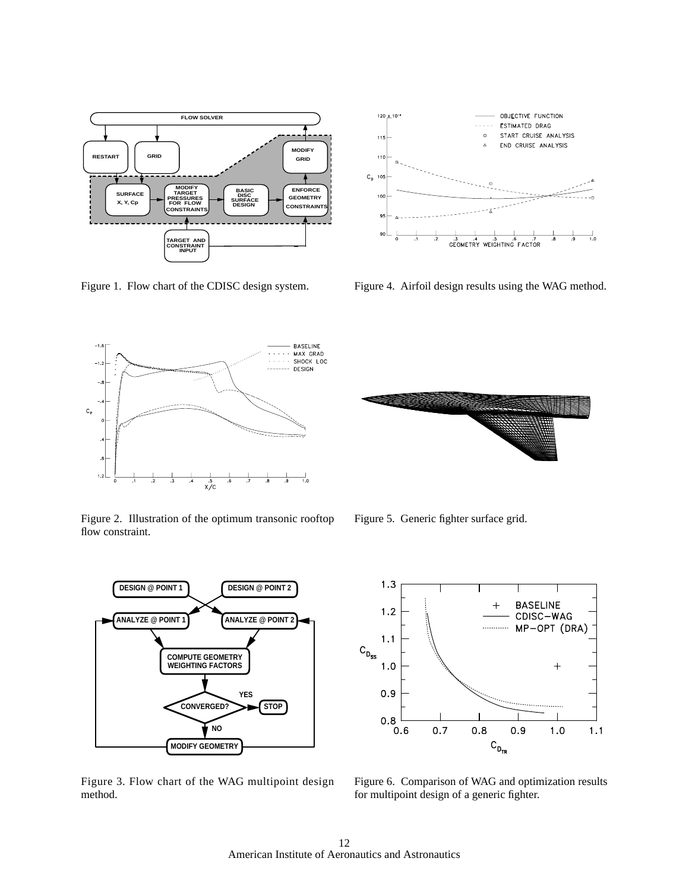

Figure 1. Flow chart of the CDISC design system.



Figure 2. Illustration of the optimum transonic rooftop flow constraint.



Figure 3. Flow chart of the WAG multipoint design method.



Figure 4. Airfoil design results using the WAG method.



Figure 5. Generic fighter surface grid.



Figure 6. Comparison of WAG and optimization results for multipoint design of a generic fighter.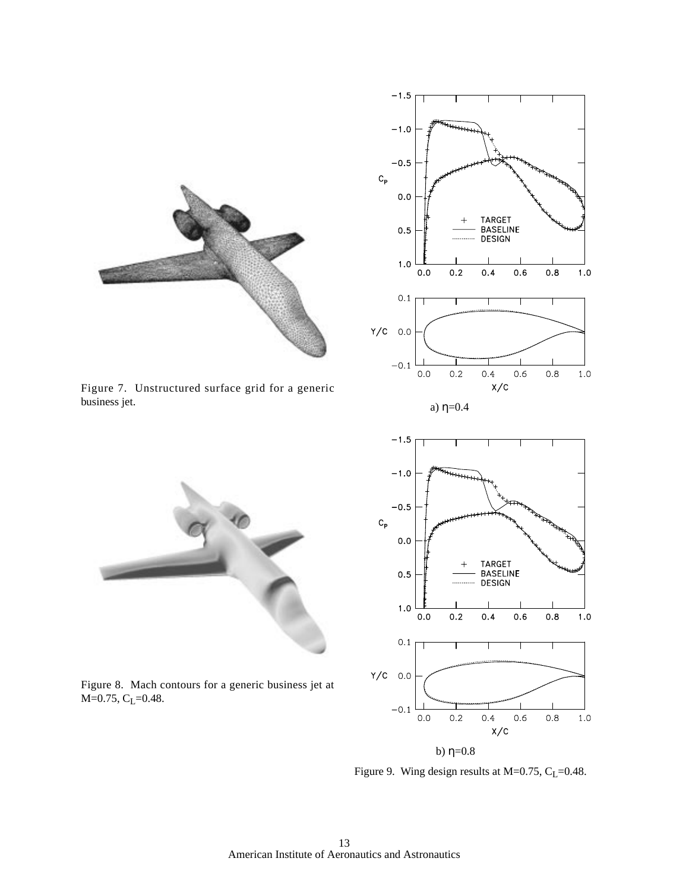

Figure 7. Unstructured surface grid for a generic business jet.





Figure 8. Mach contours for a generic business jet at  $M=0.75, C_L=0.48.$ 



Figure 9. Wing design results at  $M=0.75$ ,  $C_L=0.48$ .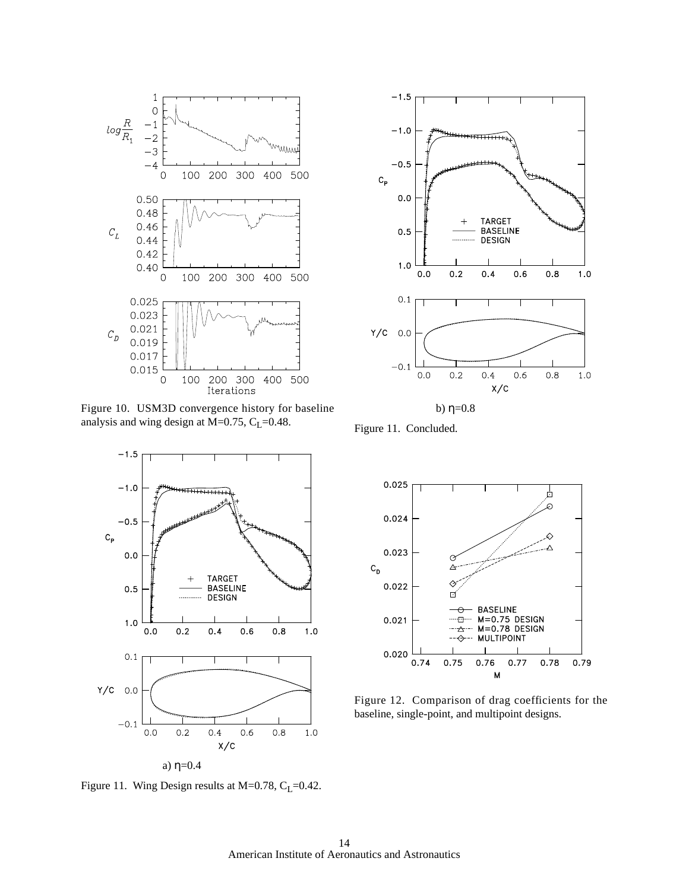

Figure 10. USM3D convergence history for baseline analysis and wing design at  $M=0.75$ ,  $C_L=0.48$ .



Figure 11. Wing Design results at M=0.78,  $C_L$ =0.42.



Figure 11. Concluded.



Figure 12. Comparison of drag coefficients for the baseline, single-point, and multipoint designs.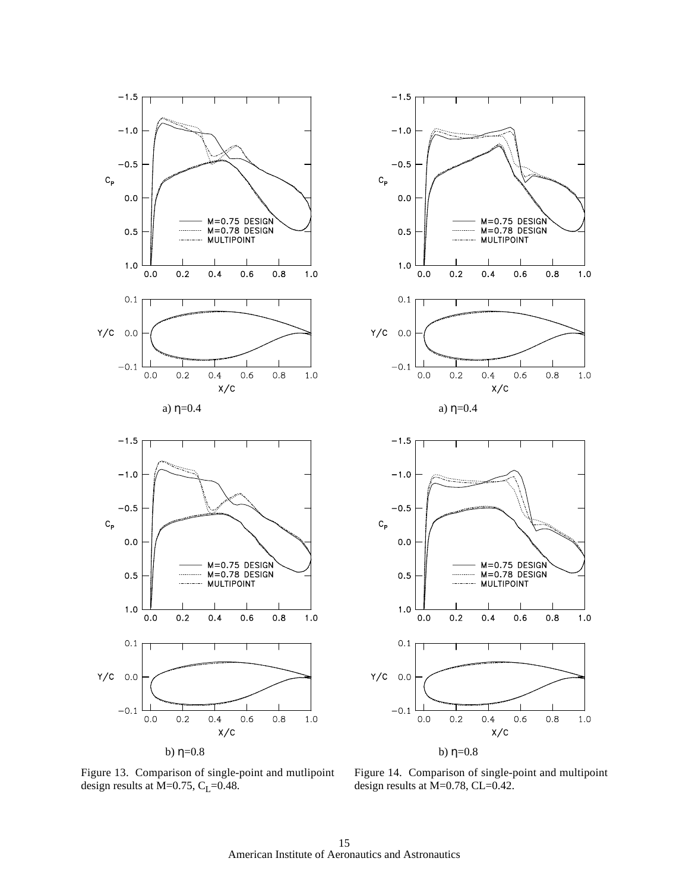





Figure 13. Comparison of single-point and mutlipoint design results at  $M=0.75$ ,  $C_L=0.48$ .

Figure 14. Comparison of single-point and multipoint design results at M=0.78, CL=0.42.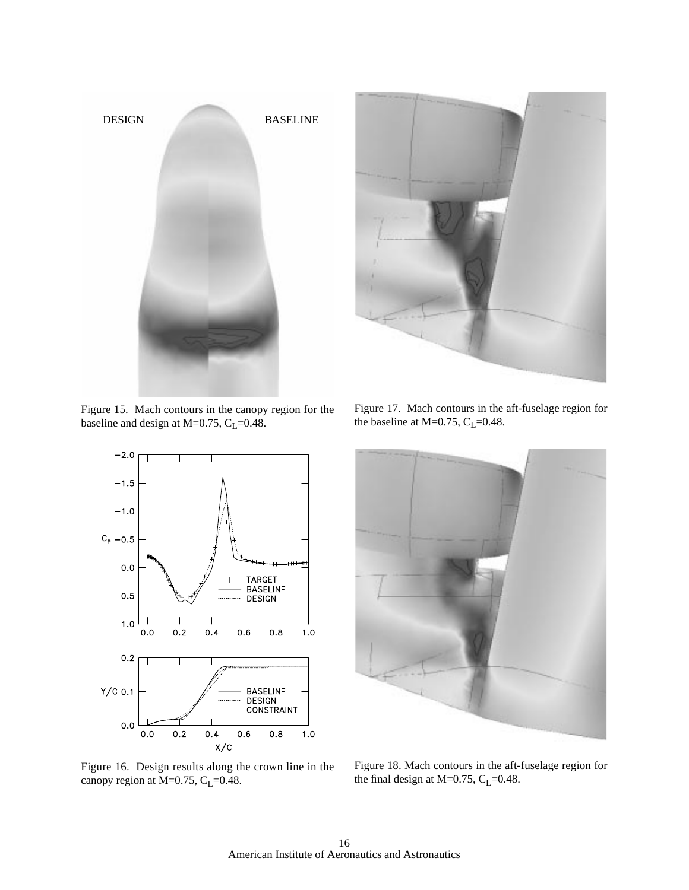





Figure 16. Design results along the crown line in the canopy region at M=0.75,  $C_L$ =0.48.



Figure 17. Mach contours in the aft-fuselage region for the baseline at M=0.75,  $C_L$ =0.48.



Figure 18. Mach contours in the aft-fuselage region for the final design at  $M=0.75$ ,  $C_L=0.48$ .